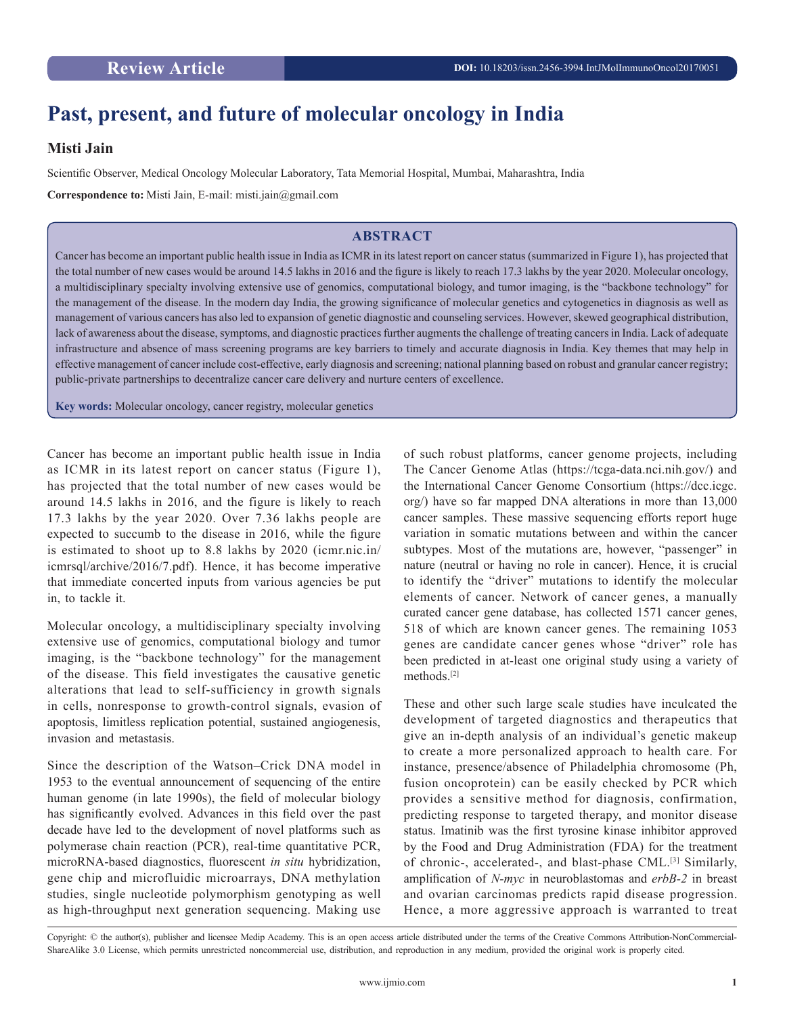## **Past, present, and future of molecular oncology in India**

## **Misti Jain**

Scientific Observer, Medical Oncology Molecular Laboratory, Tata Memorial Hospital, Mumbai, Maharashtra, India

**Correspondence to:** Misti Jain, E-mail: misti.jain@gmail.com

## **ABSTRACT**

Cancer has become an important public health issue in India as ICMR in its latest report on cancer status (summarized in Figure 1), has projected that the total number of new cases would be around 14.5 lakhs in 2016 and the figure is likely to reach 17.3 lakhs by the year 2020. Molecular oncology, a multidisciplinary specialty involving extensive use of genomics, computational biology, and tumor imaging, is the "backbone technology" for the management of the disease. In the modern day India, the growing significance of molecular genetics and cytogenetics in diagnosis as well as management of various cancers has also led to expansion of genetic diagnostic and counseling services. However, skewed geographical distribution, lack of awareness about the disease, symptoms, and diagnostic practices further augments the challenge of treating cancers in India. Lack of adequate infrastructure and absence of mass screening programs are key barriers to timely and accurate diagnosis in India. Key themes that may help in effective management of cancer include cost-effective, early diagnosis and screening; national planning based on robust and granular cancer registry; public-private partnerships to decentralize cancer care delivery and nurture centers of excellence.

**Key words:** Molecular oncology, cancer registry, molecular genetics

Cancer has become an important public health issue in India as ICMR in its latest report on cancer status (Figure 1), has projected that the total number of new cases would be around 14.5 lakhs in 2016, and the figure is likely to reach 17.3 lakhs by the year 2020. Over 7.36 lakhs people are expected to succumb to the disease in 2016, while the figure is estimated to shoot up to 8.8 lakhs by 2020 (icmr.nic.in/ icmrsql/archive/2016/7.pdf). Hence, it has become imperative that immediate concerted inputs from various agencies be put in, to tackle it.

Molecular oncology, a multidisciplinary specialty involving extensive use of genomics, computational biology and tumor imaging, is the "backbone technology" for the management of the disease. This field investigates the causative genetic alterations that lead to self-sufficiency in growth signals in cells, nonresponse to growth-control signals, evasion of apoptosis, limitless replication potential, sustained angiogenesis, invasion and metastasis.

Since the description of the Watson–Crick DNA model in 1953 to the eventual announcement of sequencing of the entire human genome (in late 1990s), the field of molecular biology has significantly evolved. Advances in this field over the past decade have led to the development of novel platforms such as polymerase chain reaction (PCR), real-time quantitative PCR, microRNA-based diagnostics, fluorescent *in situ* hybridization, gene chip and microfluidic microarrays, DNA methylation studies, single nucleotide polymorphism genotyping as well as high-throughput next generation sequencing. Making use

of such robust platforms, cancer genome projects, including The Cancer Genome Atlas (https://tcga-data.nci.nih.gov/) and the International Cancer Genome Consortium (https://dcc.icgc. org/) have so far mapped DNA alterations in more than 13,000 cancer samples. These massive sequencing efforts report huge variation in somatic mutations between and within the cancer subtypes. Most of the mutations are, however, "passenger" in nature (neutral or having no role in cancer). Hence, it is crucial to identify the "driver" mutations to identify the molecular elements of cancer. Network of cancer genes, a manually curated cancer gene database, has collected 1571 cancer genes, 518 of which are known cancer genes. The remaining 1053 genes are candidate cancer genes whose "driver" role has been predicted in at-least one original study using a variety of methods.[2]

These and other such large scale studies have inculcated the development of targeted diagnostics and therapeutics that give an in-depth analysis of an individual's genetic makeup to create a more personalized approach to health care. For instance, presence/absence of Philadelphia chromosome (Ph, fusion oncoprotein) can be easily checked by PCR which provides a sensitive method for diagnosis, confirmation, predicting response to targeted therapy, and monitor disease status. Imatinib was the first tyrosine kinase inhibitor approved by the Food and Drug Administration (FDA) for the treatment of chronic-, accelerated-, and blast-phase CML.[3] Similarly, amplification of *N-myc* in neuroblastomas and *erbB-2* in breast and ovarian carcinomas predicts rapid disease progression. Hence, a more aggressive approach is warranted to treat

Copyright: © the author(s), publisher and licensee Medip Academy. This is an open access article distributed under the terms of the Creative Commons Attribution-NonCommercial-ShareAlike 3.0 License, which permits unrestricted noncommercial use, distribution, and reproduction in any medium, provided the original work is properly cited.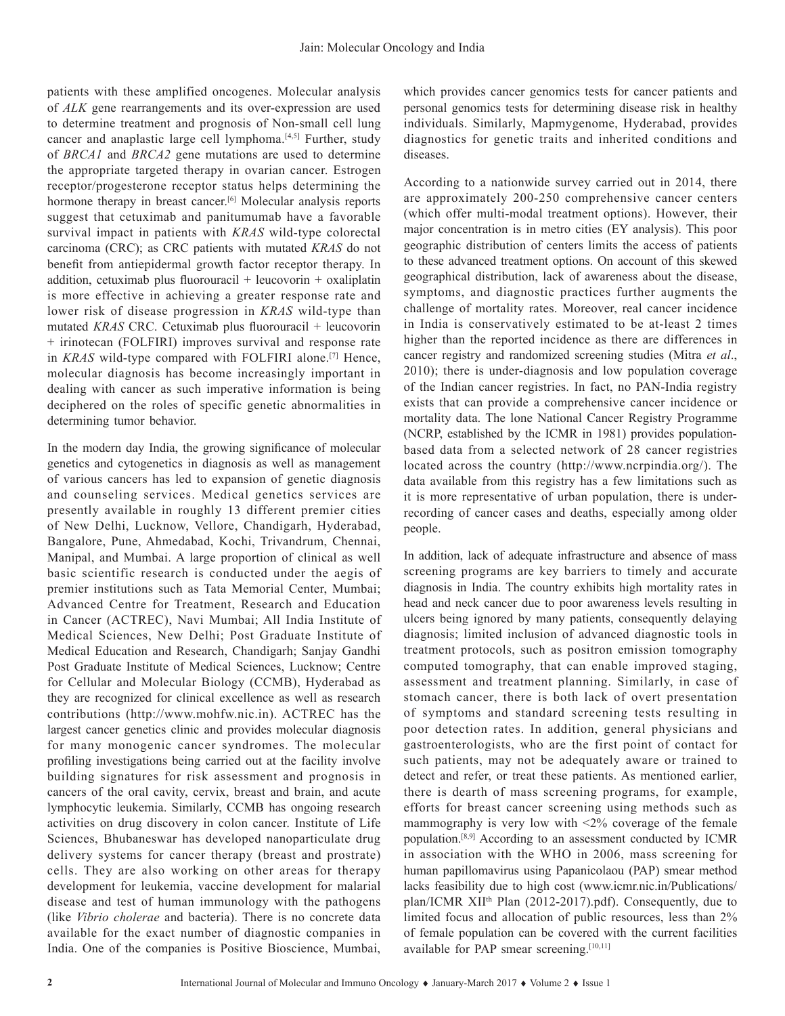patients with these amplified oncogenes. Molecular analysis of *ALK* gene rearrangements and its over-expression are used to determine treatment and prognosis of Non-small cell lung cancer and anaplastic large cell lymphoma.<sup>[4,5]</sup> Further, study of *BRCA1* and *BRCA2* gene mutations are used to determine the appropriate targeted therapy in ovarian cancer. Estrogen receptor/progesterone receptor status helps determining the hormone therapy in breast cancer.<sup>[6]</sup> Molecular analysis reports suggest that cetuximab and panitumumab have a favorable survival impact in patients with *KRAS* wild-type colorectal carcinoma (CRC); as CRC patients with mutated *KRAS* do not benefit from antiepidermal growth factor receptor therapy. In  $addition, cetuximab plus fluorouracil + leucovorin + oxaliplatin$ is more effective in achieving a greater response rate and lower risk of disease progression in *KRAS* wild-type than mutated *KRAS* CRC. Cetuximab plus fluorouracil + leucovorin + irinotecan (FOLFIRI) improves survival and response rate in *KRAS* wild-type compared with FOLFIRI alone.[7] Hence, molecular diagnosis has become increasingly important in dealing with cancer as such imperative information is being deciphered on the roles of specific genetic abnormalities in determining tumor behavior.

In the modern day India, the growing significance of molecular genetics and cytogenetics in diagnosis as well as management of various cancers has led to expansion of genetic diagnosis and counseling services. Medical genetics services are presently available in roughly 13 different premier cities of New Delhi, Lucknow, Vellore, Chandigarh, Hyderabad, Bangalore, Pune, Ahmedabad, Kochi, Trivandrum, Chennai, Manipal, and Mumbai. A large proportion of clinical as well basic scientific research is conducted under the aegis of premier institutions such as Tata Memorial Center, Mumbai; Advanced Centre for Treatment, Research and Education in Cancer (ACTREC), Navi Mumbai; All India Institute of Medical Sciences, New Delhi; Post Graduate Institute of Medical Education and Research, Chandigarh; Sanjay Gandhi Post Graduate Institute of Medical Sciences, Lucknow; Centre for Cellular and Molecular Biology (CCMB), Hyderabad as they are recognized for clinical excellence as well as research contributions (http://www.mohfw.nic.in). ACTREC has the largest cancer genetics clinic and provides molecular diagnosis for many monogenic cancer syndromes. The molecular profiling investigations being carried out at the facility involve building signatures for risk assessment and prognosis in cancers of the oral cavity, cervix, breast and brain, and acute lymphocytic leukemia. Similarly, CCMB has ongoing research activities on drug discovery in colon cancer. Institute of Life Sciences, Bhubaneswar has developed nanoparticulate drug delivery systems for cancer therapy (breast and prostrate) cells. They are also working on other areas for therapy development for leukemia, vaccine development for malarial disease and test of human immunology with the pathogens (like *Vibrio cholerae* and bacteria). There is no concrete data available for the exact number of diagnostic companies in India. One of the companies is Positive Bioscience, Mumbai,

which provides cancer genomics tests for cancer patients and personal genomics tests for determining disease risk in healthy individuals. Similarly, Mapmygenome, Hyderabad, provides diagnostics for genetic traits and inherited conditions and diseases.

According to a nationwide survey carried out in 2014, there are approximately 200-250 comprehensive cancer centers (which offer multi-modal treatment options). However, their major concentration is in metro cities (EY analysis). This poor geographic distribution of centers limits the access of patients to these advanced treatment options. On account of this skewed geographical distribution, lack of awareness about the disease, symptoms, and diagnostic practices further augments the challenge of mortality rates. Moreover, real cancer incidence in India is conservatively estimated to be at-least 2 times higher than the reported incidence as there are differences in cancer registry and randomized screening studies (Mitra *et al*., 2010); there is under-diagnosis and low population coverage of the Indian cancer registries. In fact, no PAN-India registry exists that can provide a comprehensive cancer incidence or mortality data. The lone National Cancer Registry Programme (NCRP, established by the ICMR in 1981) provides populationbased data from a selected network of 28 cancer registries located across the country (http://www.ncrpindia.org/). The data available from this registry has a few limitations such as it is more representative of urban population, there is underrecording of cancer cases and deaths, especially among older people.

In addition, lack of adequate infrastructure and absence of mass screening programs are key barriers to timely and accurate diagnosis in India. The country exhibits high mortality rates in head and neck cancer due to poor awareness levels resulting in ulcers being ignored by many patients, consequently delaying diagnosis; limited inclusion of advanced diagnostic tools in treatment protocols, such as positron emission tomography computed tomography, that can enable improved staging, assessment and treatment planning. Similarly, in case of stomach cancer, there is both lack of overt presentation of symptoms and standard screening tests resulting in poor detection rates. In addition, general physicians and gastroenterologists, who are the first point of contact for such patients, may not be adequately aware or trained to detect and refer, or treat these patients. As mentioned earlier, there is dearth of mass screening programs, for example, efforts for breast cancer screening using methods such as mammography is very low with <2% coverage of the female population.[8,9] According to an assessment conducted by ICMR in association with the WHO in 2006, mass screening for human papillomavirus using Papanicolaou (PAP) smear method lacks feasibility due to high cost (www.icmr.nic.in/Publications/ plan/ICMR XII<sup>th</sup> Plan (2012-2017).pdf). Consequently, due to limited focus and allocation of public resources, less than 2% of female population can be covered with the current facilities available for PAP smear screening.<sup>[10,11]</sup>